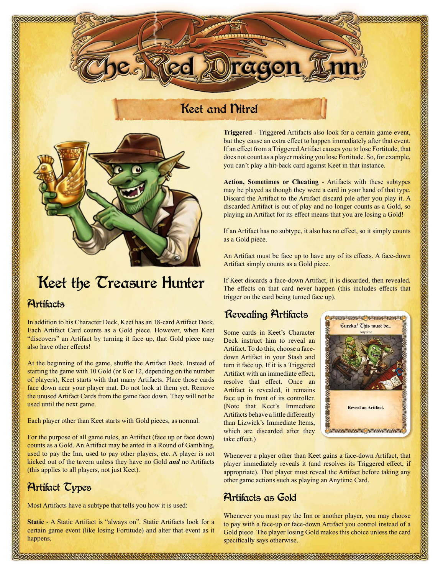maaaaa Oragon

## Keet and Nitrel



# Keet the Treasure Hunter

### **Artifacts**

In addition to his Character Deck, Keet has an 18-card Artifact Deck. Each Artifact Card counts as a Gold piece. However, when Keet "discovers" an Artifact by turning it face up, that Gold piece may also have other effects!

At the beginning of the game, shuffle the Artifact Deck. Instead of starting the game with 10 Gold (or 8 or 12, depending on the number of players), Keet starts with that many Artifacts. Place those cards face down near your player mat. Do not look at them yet. Remove the unused Artifact Cards from the game face down. They will not be used until the next game.

Each player other than Keet starts with Gold pieces, as normal.

For the purpose of all game rules, an Artifact (face up or face down) counts as a Gold. An Artifact may be anted in a Round of Gambling, used to pay the Inn, used to pay other players, etc. A player is not kicked out of the tavern unless they have no Gold *and* no Artifacts (this applies to all players, not just Keet).

### Artifact Types

Most Artifacts have a subtype that tells you how it is used:

**Static** - A Static Artifact is "always on". Static Artifacts look for a certain game event (like losing Fortitude) and alter that event as it happens.

**Triggered** - Triggered Artifacts also look for a certain game event, but they cause an extra effect to happen immediately after that event. If an effect from a Triggered Artifact causes you to lose Fortitude, that does not count as a player making you lose Fortitude. So, for example, you can't play a hit-back card against Keet in that instance.

**Action, Sometimes or Cheating** - Artifacts with these subtypes may be played as though they were a card in your hand of that type. Discard the Artifact to the Artifact discard pile after you play it. A discarded Artifact is out of play and no longer counts as a Gold, so playing an Artifact for its effect means that you are losing a Gold!

If an Artifact has no subtype, it also has no effect, so it simply counts as a Gold piece.

An Artifact must be face up to have any of its effects. A face-down Artifact simply counts as a Gold piece.

If Keet discards a face-down Artifact, it is discarded, then revealed. The effects on that card never happen (this includes effects that trigger on the card being turned face up).

## Revealing Artifacts

Some cards in Keet's Character Deck instruct him to reveal an Artifact. To do this, choose a facedown Artifact in your Stash and turn it face up. If it is a Triggered Artifact with an immediate effect, resolve that effect. Once an Artifact is revealed, it remains face up in front of its controller. (Note that Keet's Immediate Artifacts behave a little differently than Lizwick's Immediate Items, which are discarded after they take effect.)



Whenever a player other than Keet gains a face-down Artifact, that player immediately reveals it (and resolves its Triggered effect, if appropriate). That player must reveal the Artifact before taking any other game actions such as playing an Anytime Card.

### Artifacts as Gold

Whenever you must pay the Inn or another player, you may choose to pay with a face-up or face-down Artifact you control instead of a Gold piece. The player losing Gold makes this choice unless the card specifically says otherwise.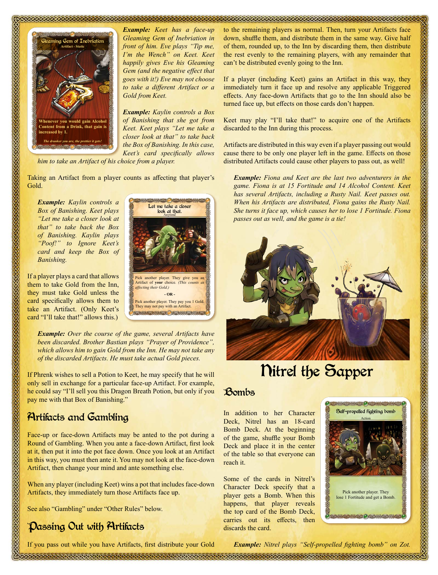

*Example: Keet has a face-up Gleaming Gem of Inebriation in front of him. Eve plays "Tip me, I'm the Wench" on Keet. Keet happily gives Eve his Gleaming Gem (and the negative effect that goes with it!) Eve may not choose to take a different Artifact or a Gold from Keet.*

*Example: Kaylin controls a Box of Banishing that she got from Keet. Keet plays "Let me take a closer look at that" to take back the Box of Banishing. In this case, Keet's card specifically allows* 

*him to take an Artifact of his choice from a player.*

<u>saaraanaan muummammuummamm</u>

Taking an Artifact from a player counts as affecting that player's Gold.

*Example: Kaylin controls a Box of Banishing. Keet plays "Let me take a closer look at that" to take back the Box of Banishing. Kaylin plays "Poof!" to Ignore Keet's card and keep the Box of Banishing.*

If a player plays a card that allows them to take Gold from the Inn, they must take Gold unless the card specifically allows them to take an Artifact. (Only Keet's card "I'll take that!" allows this.)



*Example: Over the course of the game, several Artifacts have been discarded. Brother Bastian plays "Prayer of Providence", which allows him to gain Gold from the Inn. He may not take any of the discarded Artifacts. He must take actual Gold pieces.*

If Phrenk wishes to sell a Potion to Keet, he may specify that he will only sell in exchange for a particular face-up Artifact. For example, he could say "I'll sell you this Dragon Breath Potion, but only if you pay me with that Box of Banishing."

### Artifacts and Gambling

Face-up or face-down Artifacts may be anted to the pot during a Round of Gambling. When you ante a face-down Artifact, first look at it, then put it into the pot face down. Once you look at an Artifact in this way, you must then ante it. You may not look at the face-down Artifact, then change your mind and ante something else.

When any player (including Keet) wins a pot that includes face-down Artifacts, they immediately turn those Artifacts face up.

See also "Gambling" under "Other Rules" below.

### Passing Out with Artifacts

to the remaining players as normal. Then, turn your Artifacts face down, shuffle them, and distribute them in the same way. Give half of them, rounded up, to the Inn by discarding them, then distribute the rest evenly to the remaining players, with any remainder that can't be distributed evenly going to the Inn.

If a player (including Keet) gains an Artifact in this way, they immediately turn it face up and resolve any applicable Triggered effects. Any face-down Artifacts that go to the Inn should also be turned face up, but effects on those cards don't happen.

Keet may play "I'll take that!" to acquire one of the Artifacts discarded to the Inn during this process.

Artifacts are distributed in this way even if a player passing out would cause there to be only one player left in the game. Effects on those distributed Artifacts could cause other players to pass out, as well!

*Example: Fiona and Keet are the last two adventurers in the game. Fiona is at 15 Fortitude and 14 Alcohol Content. Keet has several Artifacts, including a Rusty Nail. Keet passes out. When his Artifacts are distributed, Fiona gains the Rusty Nail. She turns it face up, which causes her to lose 1 Fortitude. Fiona passes out as well, and the game is a tie!*



# Nitrel the Sapper

#### Bombs

In addition to her Character Deck, Nitrel has an 18-card Bomb Deck. At the beginning of the game, shuffle your Bomb Deck and place it in the center of the table so that everyone can reach it.

Some of the cards in Nitrel's Character Deck specify that a player gets a Bomb. When this happens, that player reveals the top card of the Bomb Deck, carries out its effects, then discards the card.



If you pass out while you have Artifacts, first distribute your Gold

*Example: Nitrel plays "Self-propelled fighting bomb" on Zot.*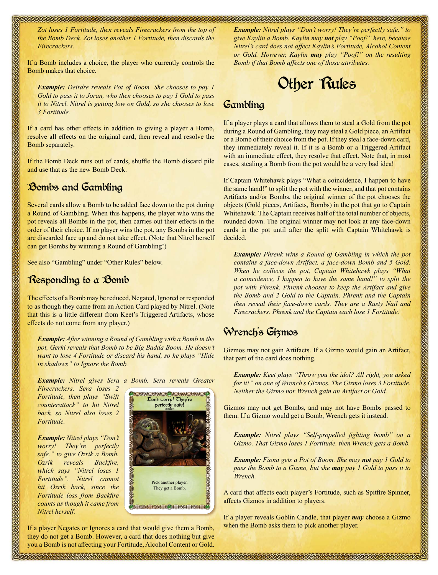*Zot loses 1 Fortitude, then reveals Firecrackers from the top of the Bomb Deck. Zot loses another 1 Fortitude, then discards the Firecrackers.*

<u>UMMANIA UMMANIA UMMANIA </u>

If a Bomb includes a choice, the player who currently controls the Bomb makes that choice.

*Example: Deirdre reveals Pot of Boom. She chooses to pay 1 Gold to pass it to Joran, who then chooses to pay 1 Gold to pass it to Nitrel. Nitrel is getting low on Gold, so she chooses to lose 3 Fortitude.*

If a card has other effects in addition to giving a player a Bomb, resolve all effects on the original card, then reveal and resolve the Bomb separately.

If the Bomb Deck runs out of cards, shuffle the Bomb discard pile and use that as the new Bomb Deck.

### Bombs and Gambling

Several cards allow a Bomb to be added face down to the pot during a Round of Gambling. When this happens, the player who wins the pot reveals all Bombs in the pot, then carries out their effects in the order of their choice. If no player wins the pot, any Bombs in the pot are discarded face up and do not take effect. (Note that Nitrel herself can get Bombs by winning a Round of Gambling!)

See also "Gambling" under "Other Rules" below.

### Responding to a Bomb

The effects of a Bomb may be reduced, Negated, Ignored or responded to as though they came from an Action Card played by Nitrel. (Note that this is a little different from Keet's Triggered Artifacts, whose effects do not come from any player.)

*Example: After winning a Round of Gambling with a Bomb in the pot, Gerki reveals that Bomb to be Big Badda Boom. He doesn't want to lose 4 Fortitude or discard his hand, so he plays "Hide in shadows" to Ignore the Bomb.*

*Example: Nitrel gives Sera a Bomb. Sera reveals Greater* 

*Firecrackers. Sera loses 2 Fortitude, then plays "Swift counterattack" to hit Nitrel back, so Nitrel also loses 2 Fortitude.*

*Example: Nitrel plays "Don't worry! They're perfectly safe." to give Ozrik a Bomb. Ozrik reveals Backfire, which says "Nitrel loses 1 Fortitude". Nitrel cannot hit Ozrik back, since the Fortitude loss from Backfire counts as though it came from Nitrel herself.*



If a player Negates or Ignores a card that would give them a Bomb, they do not get a Bomb. However, a card that does nothing but give you a Bomb is not affecting your Fortitude, Alcohol Content or Gold. *Example: Nitrel plays "Don't worry! They're perfectly safe." to give Kaylin a Bomb. Kaylin may not play "Poof!" here, because Nitrel's card does not affect Kaylin's Fortitude, Alcohol Content or Gold. However, Kaylin may play "Poof!" on the resulting Bomb if that Bomb affects one of those attributes.*

<u> KATALAHA KATALAHA KATALAHA KATALAHA</u>

# Other Rules

#### Gambling

If a player plays a card that allows them to steal a Gold from the pot during a Round of Gambling, they may steal a Gold piece, an Artifact or a Bomb of their choice from the pot. If they steal a face-down card, they immediately reveal it. If it is a Bomb or a Triggered Artifact with an immediate effect, they resolve that effect. Note that, in most cases, stealing a Bomb from the pot would be a very bad idea!

If Captain Whitehawk plays "What a coincidence, I happen to have the same hand!" to split the pot with the winner, and that pot contains Artifacts and/or Bombs, the original winner of the pot chooses the objects (Gold pieces, Artifacts, Bombs) in the pot that go to Captain Whitehawk. The Captain receives half of the total number of objects, rounded down. The original winner may not look at any face-down cards in the pot until after the split with Captain Whitehawk is decided.

*Example: Phrenk wins a Round of Gambling in which the pot contains a face-down Artifact, a face-down Bomb and 5 Gold. When he collects the pot, Captain Whitehawk plays "What a coincidence, I happen to have the same hand!" to split the pot with Phrenk. Phrenk chooses to keep the Artifact and give the Bomb and 2 Gold to the Captain. Phrenk and the Captain then reveal their face-down cards. They are a Rusty Nail and Firecrackers. Phrenk and the Captain each lose 1 Fortitude.*

### Wrench's Gizmos

Gizmos may not gain Artifacts. If a Gizmo would gain an Artifact, that part of the card does nothing.

*Example: Keet plays "Throw you the idol? All right, you asked for it!" on one of Wrench's Gizmos. The Gizmo loses 3 Fortitude. Neither the Gizmo nor Wrench gain an Artifact or Gold.*

Gizmos may not get Bombs, and may not have Bombs passed to them. If a Gizmo would get a Bomb, Wrench gets it instead.

*Example: Nitrel plays "Self-propelled fighting bomb" on a Gizmo. That Gizmo loses 1 Fortitude, then Wrench gets a Bomb.*

*Example: Fiona gets a Pot of Boom. She may not pay 1 Gold to pass the Bomb to a Gizmo, but she may pay 1 Gold to pass it to Wrench.*

A card that affects each player's Fortitude, such as Spitfire Spinner, affects Gizmos in addition to players.

If a player reveals Goblin Candle, that player *may* choose a Gizmo when the Bomb asks them to pick another player.